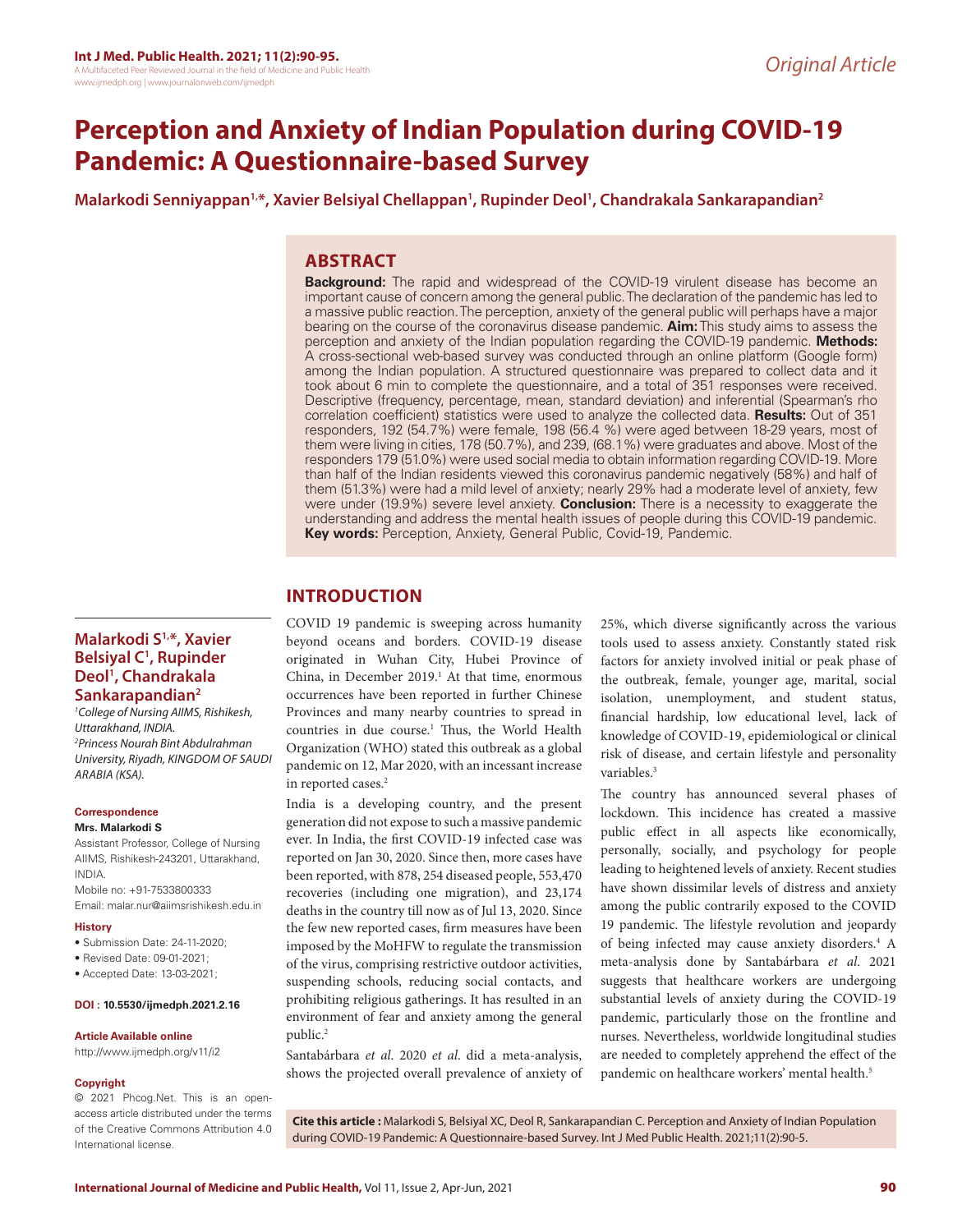# **Perception and Anxiety of Indian Population during COVID-19 Pandemic: A Questionnaire-based Survey**

**Malarkodi Senniyappan1,\*, Xavier Belsiyal Chellappan1 , Rupinder Deol1 , Chandrakala Sankarapandian2**

# **ABSTRACT**

**Background:** The rapid and widespread of the COVID-19 virulent disease has become an important cause of concern among the general public. The declaration of the pandemic has led to a massive public reaction. The perception, anxiety of the general public will perhaps have a major bearing on the course of the coronavirus disease pandemic. **Aim:** This study aims to assess the perception and anxiety of the Indian population regarding the COVID-19 pandemic. **Methods:**  A cross-sectional web-based survey was conducted through an online platform (Google form) among the Indian population. A structured questionnaire was prepared to collect data and it took about 6 min to complete the questionnaire, and a total of 351 responses were received. Descriptive (frequency, percentage, mean, standard deviation) and inferential (Spearman's rho correlation coefficient) statistics were used to analyze the collected data. **Results:** Out of 351 responders, 192 (54.7%) were female, 198 (56.4 %) were aged between 18-29 years, most of them were living in cities, 178 (50.7%), and 239, (68.1%) were graduates and above. Most of the responders 179 (51.0%) were used social media to obtain information regarding COVID-19. More than half of the Indian residents viewed this coronavirus pandemic negatively (58%) and half of them (51.3%) were had a mild level of anxiety; nearly 29% had a moderate level of anxiety, few were under (19.9%) severe level anxiety. **Conclusion:** There is a necessity to exaggerate the understanding and address the mental health issues of people during this COVID-19 pandemic. **Key words:** Perception, Anxiety, General Public, Covid-19, Pandemic.

# **INTRODUCTION**

COVID 19 pandemic is sweeping across humanity beyond oceans and borders. COVID-19 disease originated in Wuhan City, Hubei Province of China, in December  $2019<sup>1</sup>$ . At that time, enormous occurrences have been reported in further Chinese Provinces and many nearby countries to spread in countries in due course.<sup>1</sup> Thus, the World Health Organization (WHO) stated this outbreak as a global pandemic on 12, Mar 2020, with an incessant increase in reported cases.<sup>2</sup>

India is a developing country, and the present generation did not expose to such a massive pandemic ever. In India, the first COVID-19 infected case was reported on Jan 30, 2020. Since then, more cases have been reported, with 878, 254 diseased people, 553,470 recoveries (including one migration), and 23,174 deaths in the country till now as of Jul 13, 2020. Since the few new reported cases, firm measures have been imposed by the MoHFW to regulate the transmission of the virus, comprising restrictive outdoor activities, suspending schools, reducing social contacts, and prohibiting religious gatherings. It has resulted in an environment of fear and anxiety among the general public.<sup>2</sup>

Santabárbara *et al*. 2020 *et al*. did a meta-analysis, shows the projected overall prevalence of anxiety of 25%, which diverse significantly across the various tools used to assess anxiety. Constantly stated risk factors for anxiety involved initial or peak phase of the outbreak, female, younger age, marital, social isolation, unemployment, and student status, financial hardship, low educational level, lack of knowledge of COVID-19, epidemiological or clinical risk of disease, and certain lifestyle and personality variables.<sup>3</sup>

The country has announced several phases of lockdown. This incidence has created a massive public effect in all aspects like economically, personally, socially, and psychology for people leading to heightened levels of anxiety. Recent studies have shown dissimilar levels of distress and anxiety among the public contrarily exposed to the COVID 19 pandemic. The lifestyle revolution and jeopardy of being infected may cause anxiety disorders.<sup>4</sup> A meta-analysis done by Santabárbara *et al*. 2021 suggests that healthcare workers are undergoing substantial levels of anxiety during the COVID-19 pandemic, particularly those on the frontline and nurses. Nevertheless, worldwide longitudinal studies are needed to completely apprehend the effect of the pandemic on healthcare workers' mental health.<sup>5</sup>

# **Malarkodi S1,\*, Xavier Belsiyal C1 , Rupinder Deol1 , Chandrakala Sankarapandian2**

*1 College of Nursing AIIMS, Rishikesh, Uttarakhand, INDIA. 2 Princess Nourah Bint Abdulrahman University, Riyadh, KINGDOM OF SAUDI ARABIA (KSA).*

#### **Correspondence**

#### **Mrs. Malarkodi S**

Assistant Professor, College of Nursing AIIMS, Rishikesh-243201, Uttarakhand, INDIA. Mobile no: +91-7533800333 Email: malar.nur@aiimsrishikesh.edu.in

#### **History**

- Submission Date: 24-11-2020;
- Revised Date: 09-01-2021;
- Accepted Date: 13-03-2021;

#### **DOI : 10.5530/ijmedph.2021.2.16**

#### **Article Available online**

http://www.ijmedph.org/v11/i2

#### **Copyright**

© 2021 Phcog.Net. This is an openaccess article distributed under the terms of the Creative Commons Attribution 4.0 International license.

**Cite this article :** Malarkodi S, Belsiyal XC, Deol R, Sankarapandian C. Perception and Anxiety of Indian Population during COVID-19 Pandemic: A Questionnaire-based Survey. Int J Med Public Health. 2021;11(2):90-5.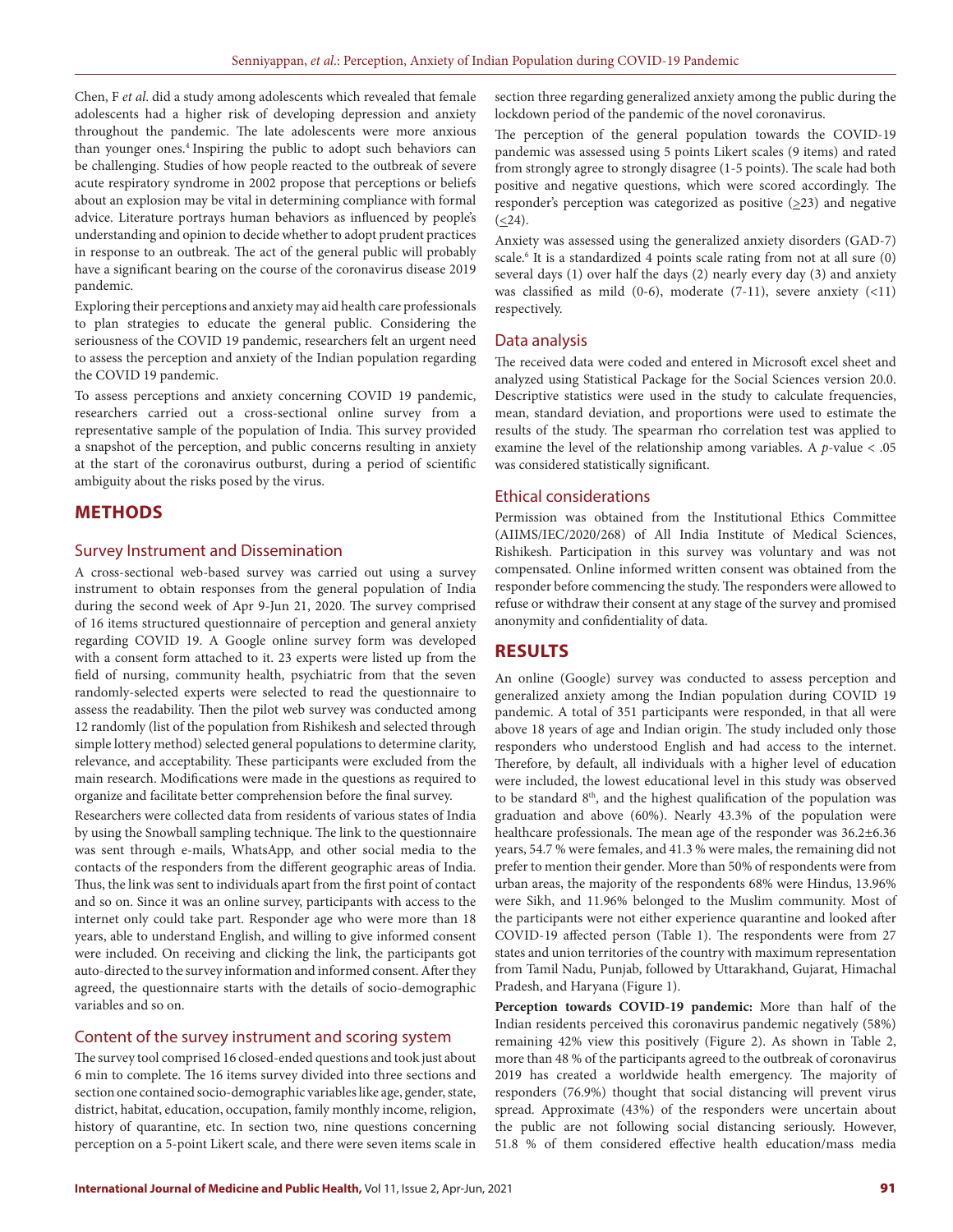Chen, F *et al*. did a study among adolescents which revealed that female adolescents had a higher risk of developing depression and anxiety throughout the pandemic. The late adolescents were more anxious than younger ones.<sup>4</sup> Inspiring the public to adopt such behaviors can be challenging. Studies of how people reacted to the outbreak of severe acute respiratory syndrome in 2002 propose that perceptions or beliefs about an explosion may be vital in determining compliance with formal advice. Literature portrays human behaviors as influenced by people's understanding and opinion to decide whether to adopt prudent practices in response to an outbreak. The act of the general public will probably have a significant bearing on the course of the coronavirus disease 2019 pandemic.

Exploring their perceptions and anxiety may aid health care professionals to plan strategies to educate the general public. Considering the seriousness of the COVID 19 pandemic, researchers felt an urgent need to assess the perception and anxiety of the Indian population regarding the COVID 19 pandemic.

To assess perceptions and anxiety concerning COVID 19 pandemic, researchers carried out a cross-sectional online survey from a representative sample of the population of India. This survey provided a snapshot of the perception, and public concerns resulting in anxiety at the start of the coronavirus outburst, during a period of scientific ambiguity about the risks posed by the virus.

# **METHODS**

#### Survey Instrument and Dissemination

A cross-sectional web-based survey was carried out using a survey instrument to obtain responses from the general population of India during the second week of Apr 9-Jun 21, 2020. The survey comprised of 16 items structured questionnaire of perception and general anxiety regarding COVID 19. A Google online survey form was developed with a consent form attached to it. 23 experts were listed up from the field of nursing, community health, psychiatric from that the seven randomly-selected experts were selected to read the questionnaire to assess the readability. Then the pilot web survey was conducted among 12 randomly (list of the population from Rishikesh and selected through simple lottery method) selected general populations to determine clarity, relevance, and acceptability. These participants were excluded from the main research. Modifications were made in the questions as required to organize and facilitate better comprehension before the final survey.

Researchers were collected data from residents of various states of India by using the Snowball sampling technique. The link to the questionnaire was sent through e-mails, WhatsApp, and other social media to the contacts of the responders from the different geographic areas of India. Thus, the link was sent to individuals apart from the first point of contact and so on. Since it was an online survey, participants with access to the internet only could take part. Responder age who were more than 18 years, able to understand English, and willing to give informed consent were included. On receiving and clicking the link, the participants got auto-directed to the survey information and informed consent. After they agreed, the questionnaire starts with the details of socio-demographic variables and so on.

### Content of the survey instrument and scoring system

The survey tool comprised 16 closed-ended questions and took just about 6 min to complete. The 16 items survey divided into three sections and section one contained socio-demographic variables like age, gender, state, district, habitat, education, occupation, family monthly income, religion, history of quarantine, etc. In section two, nine questions concerning perception on a 5-point Likert scale, and there were seven items scale in

section three regarding generalized anxiety among the public during the lockdown period of the pandemic of the novel coronavirus.

The perception of the general population towards the COVID-19 pandemic was assessed using 5 points Likert scales (9 items) and rated from strongly agree to strongly disagree (1-5 points). The scale had both positive and negative questions, which were scored accordingly. The responder's perception was categorized as positive  $(\geq 23)$  and negative  $( \leq 24).$ 

Anxiety was assessed using the generalized anxiety disorders (GAD-7) scale.<sup>6</sup> It is a standardized 4 points scale rating from not at all sure (0) several days (1) over half the days (2) nearly every day (3) and anxiety was classified as mild (0-6), moderate (7-11), severe anxiety (<11) respectively.

#### Data analysis

The received data were coded and entered in Microsoft excel sheet and analyzed using Statistical Package for the Social Sciences version 20.0. Descriptive statistics were used in the study to calculate frequencies, mean, standard deviation, and proportions were used to estimate the results of the study. The spearman rho correlation test was applied to examine the level of the relationship among variables. A *p*-value < .05 was considered statistically significant.

#### Ethical considerations

Permission was obtained from the Institutional Ethics Committee (AIIMS/IEC/2020/268) of All India Institute of Medical Sciences, Rishikesh. Participation in this survey was voluntary and was not compensated. Online informed written consent was obtained from the responder before commencing the study. The responders were allowed to refuse or withdraw their consent at any stage of the survey and promised anonymity and confidentiality of data.

# **RESULTS**

An online (Google) survey was conducted to assess perception and generalized anxiety among the Indian population during COVID 19 pandemic. A total of 351 participants were responded, in that all were above 18 years of age and Indian origin. The study included only those responders who understood English and had access to the internet. Therefore, by default, all individuals with a higher level of education were included, the lowest educational level in this study was observed to be standard 8<sup>th</sup>, and the highest qualification of the population was graduation and above (60%). Nearly 43.3% of the population were healthcare professionals. The mean age of the responder was 36.2±6.36 years, 54.7 % were females, and 41.3 % were males, the remaining did not prefer to mention their gender. More than 50% of respondents were from urban areas, the majority of the respondents 68% were Hindus, 13.96% were Sikh, and 11.96% belonged to the Muslim community. Most of the participants were not either experience quarantine and looked after COVID-19 affected person (Table 1). The respondents were from 27 states and union territories of the country with maximum representation from Tamil Nadu, Punjab, followed by Uttarakhand, Gujarat, Himachal Pradesh, and Haryana (Figure 1).

**Perception towards COVID-19 pandemic:** More than half of the Indian residents perceived this coronavirus pandemic negatively (58%) remaining 42% view this positively (Figure 2). As shown in Table 2, more than 48 % of the participants agreed to the outbreak of coronavirus 2019 has created a worldwide health emergency. The majority of responders (76.9%) thought that social distancing will prevent virus spread. Approximate (43%) of the responders were uncertain about the public are not following social distancing seriously. However, 51.8 % of them considered effective health education/mass media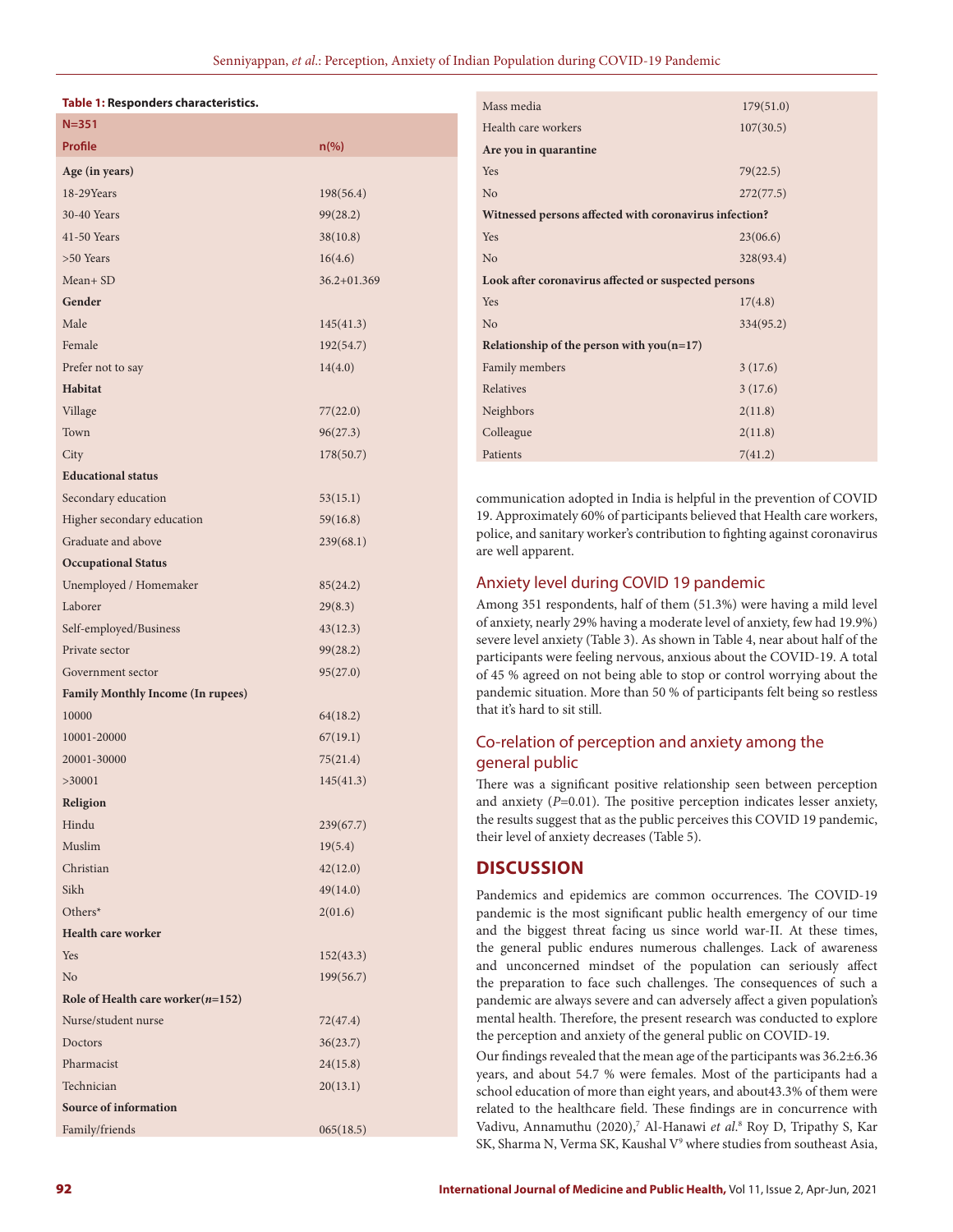#### **Table 1: Responders characteristics.**

| $N = 351$                                |                 |
|------------------------------------------|-----------------|
| <b>Profile</b>                           | $n$ (%)         |
| Age (in years)                           |                 |
| 18-29Years                               | 198(56.4)       |
| 30-40 Years                              | 99(28.2)        |
| 41-50 Years                              | 38(10.8)        |
| >50 Years                                | 16(4.6)         |
| Mean+ SD                                 | $36.2 + 01.369$ |
| Gender                                   |                 |
| Male                                     | 145(41.3)       |
| Female                                   | 192(54.7)       |
| Prefer not to say                        | 14(4.0)         |
| Habitat                                  |                 |
| Village                                  | 77(22.0)        |
| Town                                     | 96(27.3)        |
| City                                     | 178(50.7)       |
| <b>Educational status</b>                |                 |
| Secondary education                      | 53(15.1)        |
| Higher secondary education               | 59(16.8)        |
| Graduate and above                       | 239(68.1)       |
| <b>Occupational Status</b>               |                 |
| Unemployed / Homemaker                   | 85(24.2)        |
| Laborer                                  | 29(8.3)         |
| Self-employed/Business                   | 43(12.3)        |
| Private sector                           | 99(28.2)        |
| Government sector                        | 95(27.0)        |
| <b>Family Monthly Income (In rupees)</b> |                 |
| 10000                                    | 64(18.2)        |
| 10001-20000                              | 67(19.1)        |
| 20001-30000                              | 75(21.4)        |
| >30001                                   | 145(41.3)       |
| Religion                                 |                 |
| Hindu                                    | 239(67.7)       |
| Muslim                                   | 19(5.4)         |
| Christian                                | 42(12.0)        |
| Sikh                                     | 49(14.0)        |
| Others*                                  | 2(01.6)         |
| <b>Health care worker</b>                |                 |
| Yes                                      | 152(43.3)       |
| N <sub>o</sub>                           | 199(56.7)       |
| Role of Health care worker $(n=152)$     |                 |
| Nurse/student nurse                      | 72(47.4)        |
| Doctors                                  | 36(23.7)        |
| Pharmacist                               | 24(15.8)        |
| Technician                               | 20(13.1)        |
| <b>Source of information</b>             |                 |
| Family/friends                           | 065(18.5)       |

| Mass media                                             | 179(51.0) |  |  |  |  |
|--------------------------------------------------------|-----------|--|--|--|--|
| Health care workers                                    | 107(30.5) |  |  |  |  |
| Are you in quarantine                                  |           |  |  |  |  |
| Yes                                                    | 79(22.5)  |  |  |  |  |
| No                                                     | 272(77.5) |  |  |  |  |
| Witnessed persons affected with coronavirus infection? |           |  |  |  |  |
| Yes                                                    | 23(06.6)  |  |  |  |  |
| N <sub>o</sub>                                         | 328(93.4) |  |  |  |  |
| Look after coronavirus affected or suspected persons   |           |  |  |  |  |
| Yes                                                    | 17(4.8)   |  |  |  |  |
| N <sub>o</sub>                                         | 334(95.2) |  |  |  |  |
| Relationship of the person with $you(n=17)$            |           |  |  |  |  |
| Family members                                         | 3(17.6)   |  |  |  |  |
| Relatives                                              | 3(17.6)   |  |  |  |  |
| Neighbors                                              | 2(11.8)   |  |  |  |  |
| Colleague                                              | 2(11.8)   |  |  |  |  |
| Patients                                               | 7(41.2)   |  |  |  |  |
|                                                        |           |  |  |  |  |

communication adopted in India is helpful in the prevention of COVID 19. Approximately 60% of participants believed that Health care workers, police, and sanitary worker's contribution to fighting against coronavirus are well apparent.

# Anxiety level during COVID 19 pandemic

Among 351 respondents, half of them (51.3%) were having a mild level of anxiety, nearly 29% having a moderate level of anxiety, few had 19.9%) severe level anxiety (Table 3). As shown in Table 4, near about half of the participants were feeling nervous, anxious about the COVID-19. A total of 45 % agreed on not being able to stop or control worrying about the pandemic situation. More than 50 % of participants felt being so restless that it's hard to sit still.

# Co-relation of perception and anxiety among the general public

There was a significant positive relationship seen between perception and anxiety (*P*=0.01). The positive perception indicates lesser anxiety, the results suggest that as the public perceives this COVID 19 pandemic, their level of anxiety decreases (Table 5).

# **DISCUSSION**

Pandemics and epidemics are common occurrences. The COVID-19 pandemic is the most significant public health emergency of our time and the biggest threat facing us since world war-II. At these times, the general public endures numerous challenges. Lack of awareness and unconcerned mindset of the population can seriously affect the preparation to face such challenges. The consequences of such a pandemic are always severe and can adversely affect a given population's mental health. Therefore, the present research was conducted to explore the perception and anxiety of the general public on COVID-19.

Our findings revealed that the mean age of the participants was 36.2±6.36 years, and about 54.7 % were females. Most of the participants had a school education of more than eight years, and about43.3% of them were related to the healthcare field. These findings are in concurrence with Vadivu, Annamuthu (2020),<sup>7</sup> Al-Hanawi et al.<sup>8</sup> Roy D, Tripathy S, Kar SK, Sharma N, Verma SK, Kaushal V<sup>9</sup> where studies from southeast Asia,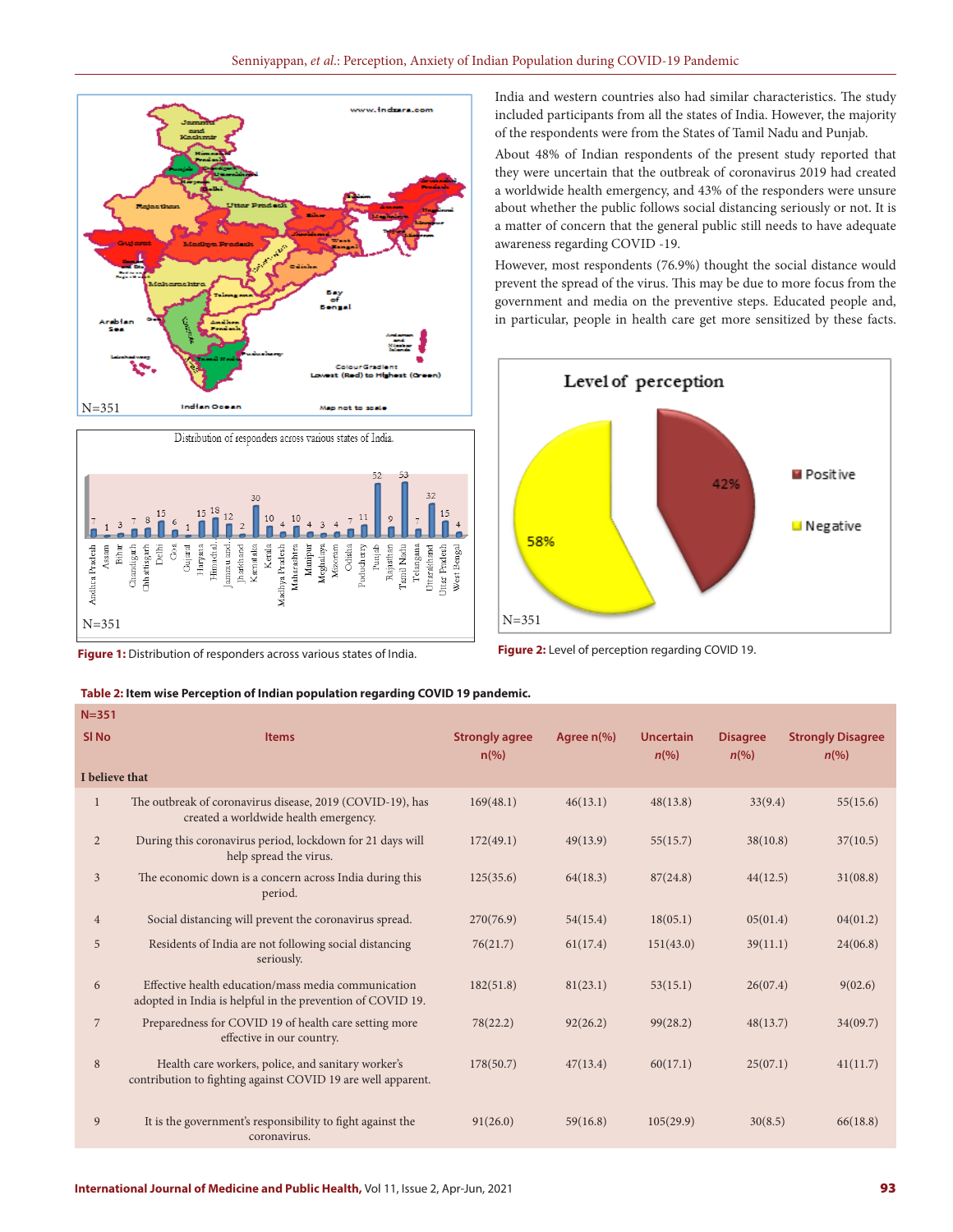



**Table 2: Item wise Perception of Indian population regarding COVID 19 pandemic.**

**Figure 1:** Distribution of responders across various states of India.

India and western countries also had similar characteristics. The study included participants from all the states of India. However, the majority of the respondents were from the States of Tamil Nadu and Punjab.

About 48% of Indian respondents of the present study reported that they were uncertain that the outbreak of coronavirus 2019 had created a worldwide health emergency, and 43% of the responders were unsure about whether the public follows social distancing seriously or not. It is a matter of concern that the general public still needs to have adequate awareness regarding COVID -19.

However, most respondents (76.9%) thought the social distance would prevent the spread of the virus. This may be due to more focus from the government and media on the preventive steps. Educated people and, in particular, people in health care get more sensitized by these facts.



**Figure 2:** Level of perception regarding COVID 19.

| $N = 351$        |                                                                                                                    |                                         |                      |                                        |                                       |                                                |
|------------------|--------------------------------------------------------------------------------------------------------------------|-----------------------------------------|----------------------|----------------------------------------|---------------------------------------|------------------------------------------------|
| SI <sub>No</sub> | <b>Items</b>                                                                                                       | <b>Strongly agree</b><br>$n\frac{9}{6}$ | Agree $n\frac{9}{6}$ | <b>Uncertain</b><br>$n\left(\%\right)$ | <b>Disagree</b><br>$n\left(\%\right)$ | <b>Strongly Disagree</b><br>$n\left(\%\right)$ |
| I believe that   |                                                                                                                    |                                         |                      |                                        |                                       |                                                |
| 1                | The outbreak of coronavirus disease, 2019 (COVID-19), has<br>created a worldwide health emergency.                 | 169(48.1)                               | 46(13.1)             | 48(13.8)                               | 33(9.4)                               | 55(15.6)                                       |
| $\overline{2}$   | During this coronavirus period, lockdown for 21 days will<br>help spread the virus.                                | 172(49.1)                               | 49(13.9)             | 55(15.7)                               | 38(10.8)                              | 37(10.5)                                       |
| 3                | The economic down is a concern across India during this<br>period.                                                 | 125(35.6)                               | 64(18.3)             | 87(24.8)                               | 44(12.5)                              | 31(08.8)                                       |
| $\overline{4}$   | Social distancing will prevent the coronavirus spread.                                                             | 270(76.9)                               | 54(15.4)             | 18(05.1)                               | 05(01.4)                              | 04(01.2)                                       |
| 5                | Residents of India are not following social distancing<br>seriously.                                               | 76(21.7)                                | 61(17.4)             | 151(43.0)                              | 39(11.1)                              | 24(06.8)                                       |
| 6                | Effective health education/mass media communication<br>adopted in India is helpful in the prevention of COVID 19.  | 182(51.8)                               | 81(23.1)             | 53(15.1)                               | 26(07.4)                              | 9(02.6)                                        |
| $\overline{7}$   | Preparedness for COVID 19 of health care setting more<br>effective in our country.                                 | 78(22.2)                                | 92(26.2)             | 99(28.2)                               | 48(13.7)                              | 34(09.7)                                       |
| 8                | Health care workers, police, and sanitary worker's<br>contribution to fighting against COVID 19 are well apparent. | 178(50.7)                               | 47(13.4)             | 60(17.1)                               | 25(07.1)                              | 41(11.7)                                       |
| 9                | It is the government's responsibility to fight against the<br>coronavirus.                                         | 91(26.0)                                | 59(16.8)             | 105(29.9)                              | 30(8.5)                               | 66(18.8)                                       |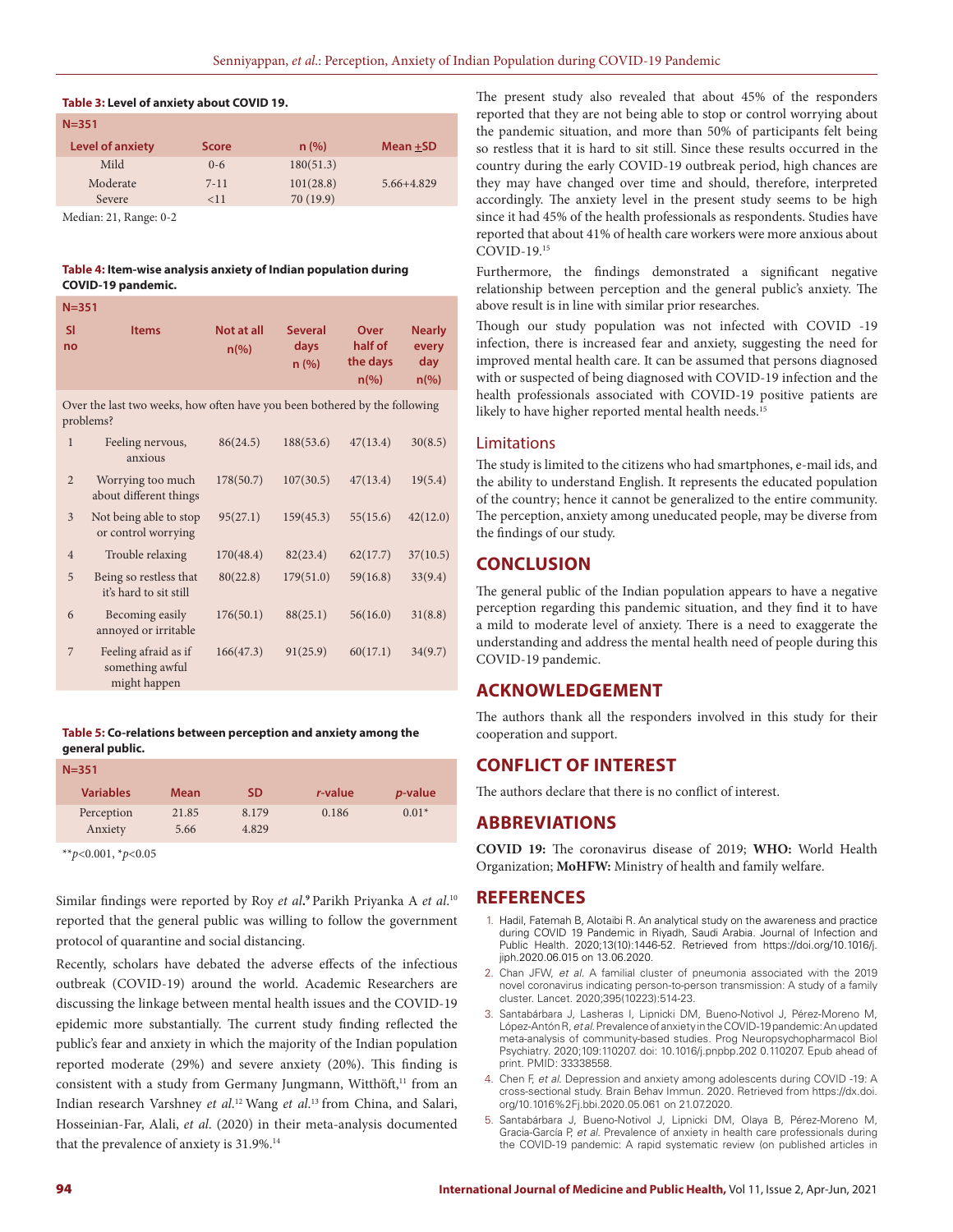#### **Table 3: Level of anxiety about COVID 19.**

| $N = 351$               |              |           |            |  |  |
|-------------------------|--------------|-----------|------------|--|--|
| <b>Level of anxiety</b> | <b>Score</b> | n(%)      | Mean +SD   |  |  |
| Mild                    | $0 - 6$      | 180(51.3) |            |  |  |
| Moderate                | $7 - 11$     | 101(28.8) | 5.66+4.829 |  |  |
| Severe                  | <11          | 70(19.9)  |            |  |  |
|                         |              |           |            |  |  |

Median: 21, Range: 0-2

#### **Table 4: Item-wise analysis anxiety of Indian population during COVID-19 pandemic.**

| $N = 351$                                                                               |                                                  |                                  |                                 |                                                   |                                                 |  |
|-----------------------------------------------------------------------------------------|--------------------------------------------------|----------------------------------|---------------------------------|---------------------------------------------------|-------------------------------------------------|--|
| <b>SI</b><br>no                                                                         | <b>Items</b>                                     | Not at all<br>$n\left(\%\right)$ | <b>Several</b><br>days<br>n (%) | Over<br>half of<br>the days<br>$n\left(\%\right)$ | <b>Nearly</b><br>every<br>day<br>$n\frac{9}{6}$ |  |
| Over the last two weeks, how often have you been bothered by the following<br>problems? |                                                  |                                  |                                 |                                                   |                                                 |  |
| 1                                                                                       | Feeling nervous,<br>anxious                      | 86(24.5)                         | 188(53.6)                       | 47(13.4)                                          | 30(8.5)                                         |  |
| $\overline{2}$                                                                          | Worrying too much<br>about different things      | 178(50.7)                        | 107(30.5)                       | 47(13.4)                                          | 19(5.4)                                         |  |
| 3                                                                                       | Not being able to stop<br>or control worrying    | 95(27.1)                         | 159(45.3)                       | 55(15.6)                                          | 42(12.0)                                        |  |
| $\overline{4}$                                                                          | Trouble relaxing                                 | 170(48.4)                        | 82(23.4)                        | 62(17.7)                                          | 37(10.5)                                        |  |
| 5                                                                                       | Being so restless that<br>it's hard to sit still | 80(22.8)                         | 179(51.0)                       | 59(16.8)                                          | 33(9.4)                                         |  |
| 6                                                                                       | Becoming easily<br>annoyed or irritable          | 176(50.1)                        | 88(25.1)                        | 56(16.0)                                          | 31(8.8)                                         |  |

### **Table 5: Co-relations between perception and anxiety among the general public.**

| $N = 351$        |             |       |         |                 |  |
|------------------|-------------|-------|---------|-----------------|--|
| <b>Variables</b> | <b>Mean</b> | SD.   | r-value | <i>p</i> -value |  |
| Perception       | 21.85       | 8.179 | 0.186   | $0.01*$         |  |
| Anxiety          | 5.66        | 4.829 |         |                 |  |

166(47.3) 91(25.9) 60(17.1) 34(9.7)

\*\**p*<0.001, \**p*<0.05

7 Feeling afraid as if something awful might happen

Similar findings were reported by Roy *et al***. <sup>9</sup>** Parikh Priyanka A *et al*. 10 reported that the general public was willing to follow the government protocol of quarantine and social distancing.

Recently, scholars have debated the adverse effects of the infectious outbreak (COVID-19) around the world. Academic Researchers are discussing the linkage between mental health issues and the COVID-19 epidemic more substantially. The current study finding reflected the public's fear and anxiety in which the majority of the Indian population reported moderate (29%) and severe anxiety (20%). This finding is consistent with a study from Germany Jungmann, Witthöft,<sup>11</sup> from an Indian research Varshney *et al*. 12 Wang *et al*. 13 from China, and Salari, Hosseinian-Far, Alali, *et al*. (2020) in their meta-analysis documented that the prevalence of anxiety is 31.9%.<sup>14</sup>

The present study also revealed that about 45% of the responders reported that they are not being able to stop or control worrying about the pandemic situation, and more than 50% of participants felt being so restless that it is hard to sit still. Since these results occurred in the country during the early COVID-19 outbreak period, high chances are they may have changed over time and should, therefore, interpreted accordingly. The anxiety level in the present study seems to be high since it had 45% of the health professionals as respondents. Studies have reported that about 41% of health care workers were more anxious about COVID-19.15

Furthermore, the findings demonstrated a significant negative relationship between perception and the general public's anxiety. The above result is in line with similar prior researches.

Though our study population was not infected with COVID -19 infection, there is increased fear and anxiety, suggesting the need for improved mental health care. It can be assumed that persons diagnosed with or suspected of being diagnosed with COVID-19 infection and the health professionals associated with COVID-19 positive patients are likely to have higher reported mental health needs.<sup>15</sup>

#### Limitations

The study is limited to the citizens who had smartphones, e-mail ids, and the ability to understand English. It represents the educated population of the country; hence it cannot be generalized to the entire community. The perception, anxiety among uneducated people, may be diverse from the findings of our study.

# **CONCLUSION**

The general public of the Indian population appears to have a negative perception regarding this pandemic situation, and they find it to have a mild to moderate level of anxiety. There is a need to exaggerate the understanding and address the mental health need of people during this COVID-19 pandemic.

# **ACKNOWLEDGEMENT**

The authors thank all the responders involved in this study for their cooperation and support.

# **CONFLICT OF INTEREST**

The authors declare that there is no conflict of interest.

# **ABBREVIATIONS**

**COVID 19:** The coronavirus disease of 2019; **WHO:** World Health Organization; **MoHFW:** Ministry of health and family welfare.

# **REFERENCES**

- 1. Hadil, Fatemah B, Alotaibi R. An analytical study on the awareness and practice during COVID 19 Pandemic in Riyadh, Saudi Arabia. Journal of Infection and Public Health. 2020;13(10):1446-52. Retrieved from https://doi.org/10.1016/j. jiph.2020.06.015 on 13.06.2020.
- 2. Chan JFW, *et al.* A familial cluster of pneumonia associated with the 2019 novel coronavirus indicating person-to-person transmission: A study of a family cluster. Lancet. 2020;395(10223):514-23.
- 3. Santabárbara J, Lasheras I, Lipnicki DM, Bueno-Notivol J, Pérez-Moreno M, López-Antón R, *et al*. Prevalence of anxiety in the COVID-19 pandemic: An updated meta-analysis of community-based studies. Prog Neuropsychopharmacol Biol Psychiatry. 2020;109:110207. doi: 10.1016/j.pnpbp.202 0.110207. Epub ahead of print. PMID: 33338558.
- 4. Chen F, *et al*. Depression and anxiety among adolescents during COVID -19: A cross-sectional study. Brain Behav Immun. 2020. Retrieved from https://dx.doi. org/10.1016%2Fj.bbi.2020.05.061 on 21.07.2020.
- 5. Santabárbara J, Bueno-Notivol J, Lipnicki DM, Olaya B, Pérez-Moreno M, Gracia-García P, *et al*. Prevalence of anxiety in health care professionals during the COVID-19 pandemic: A rapid systematic review (on published articles in